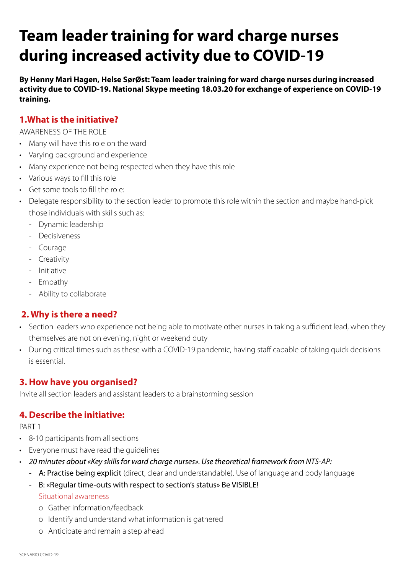# **Team leader training for ward charge nurses during increased activity due to COVID-19**

**By Henny Mari Hagen, Helse SørØst: Team leader training for ward charge nurses during increased activity due to COVID-19. National Skype meeting 18.03.20 for exchange of experience on COVID-19 training.**

## **1.What is the initiative?**

AWARENESS OF THE ROLE

- Many will have this role on the ward
- Varying background and experience
- Many experience not being respected when they have this role
- Various ways to fill this role
- Get some tools to fill the role:
- Delegate responsibility to the section leader to promote this role within the section and maybe hand-pick those individuals with skills such as:
	- Dynamic leadership
	- Decisiveness
	- Courage
	- Creativity
	- Initiative
	- Empathy
	- Ability to collaborate

## **2. Why is there a need?**

- Section leaders who experience not being able to motivate other nurses in taking a sufficient lead, when they themselves are not on evening, night or weekend duty
- During critical times such as these with a COVID-19 pandemic, having staff capable of taking quick decisions is essential.

# **3. How have you organised?**

Invite all section leaders and assistant leaders to a brainstorming session

# **4. Describe the initiative:**

PART 1

- 8-10 participants from all sections
- Everyone must have read the guidelines
- *20 minutes about «Key skills for ward charge nurses». Use theoretical framework from NTS-AP:*
	- A: Practise being explicit (direct, clear and understandable). Use of language and body language
	- B: «Regular time-outs with respect to section's status» Be VISIBLE! Situational awareness
		- o Gather information/feedback
		- o Identify and understand what information is gathered
		- o Anticipate and remain a step ahead